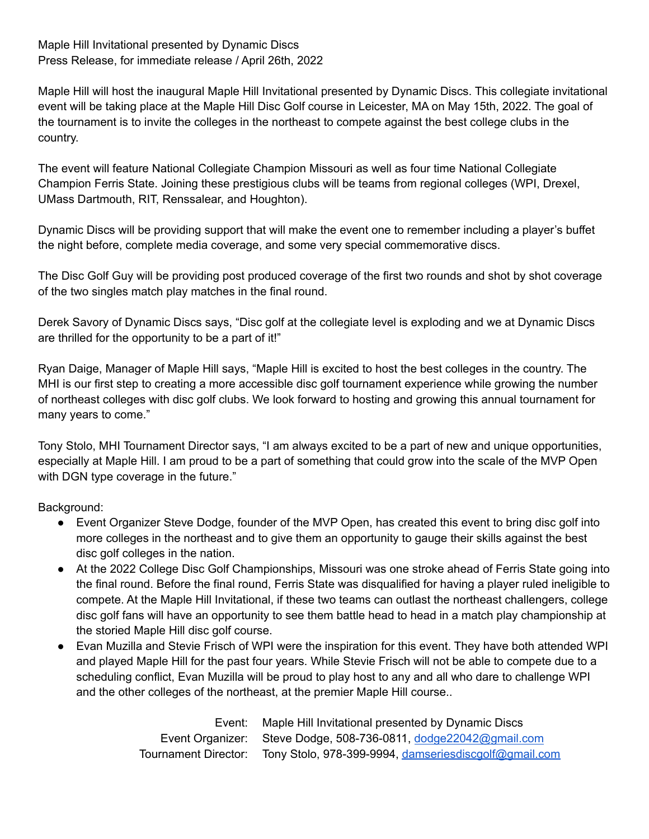Maple Hill Invitational presented by Dynamic Discs Press Release, for immediate release / April 26th, 2022

Maple Hill will host the inaugural Maple Hill Invitational presented by Dynamic Discs. This collegiate invitational event will be taking place at the Maple Hill Disc Golf course in Leicester, MA on May 15th, 2022. The goal of the tournament is to invite the colleges in the northeast to compete against the best college clubs in the country.

The event will feature National Collegiate Champion Missouri as well as four time National Collegiate Champion Ferris State. Joining these prestigious clubs will be teams from regional colleges (WPI, Drexel, UMass Dartmouth, RIT, Renssalear, and Houghton).

Dynamic Discs will be providing support that will make the event one to remember including a player's buffet the night before, complete media coverage, and some very special commemorative discs.

The Disc Golf Guy will be providing post produced coverage of the first two rounds and shot by shot coverage of the two singles match play matches in the final round.

Derek Savory of Dynamic Discs says, "Disc golf at the collegiate level is exploding and we at Dynamic Discs are thrilled for the opportunity to be a part of it!"

Ryan Daige, Manager of Maple Hill says, "Maple Hill is excited to host the best colleges in the country. The MHI is our first step to creating a more accessible disc golf tournament experience while growing the number of northeast colleges with disc golf clubs. We look forward to hosting and growing this annual tournament for many years to come."

Tony Stolo, MHI Tournament Director says, "I am always excited to be a part of new and unique opportunities, especially at Maple Hill. I am proud to be a part of something that could grow into the scale of the MVP Open with DGN type coverage in the future."

Background:

- Event Organizer Steve Dodge, founder of the MVP Open, has created this event to bring disc golf into more colleges in the northeast and to give them an opportunity to gauge their skills against the best disc golf colleges in the nation.
- At the 2022 College Disc Golf Championships, Missouri was one stroke ahead of Ferris State going into the final round. Before the final round, Ferris State was disqualified for having a player ruled ineligible to compete. At the Maple Hill Invitational, if these two teams can outlast the northeast challengers, college disc golf fans will have an opportunity to see them battle head to head in a match play championship at the storied Maple Hill disc golf course.
- Evan Muzilla and Stevie Frisch of WPI were the inspiration for this event. They have both attended WPI and played Maple Hill for the past four years. While Stevie Frisch will not be able to compete due to a scheduling conflict, Evan Muzilla will be proud to play host to any and all who dare to challenge WPI and the other colleges of the northeast, at the premier Maple Hill course..

Event: Maple Hill Invitational presented by Dynamic Discs Event Organizer: Steve Dodge, 508-736-0811, [dodge22042@gmail.com](mailto:dodge22042@gmail.com) Tournament Director: Tony Stolo, 978-399-9994, [damseriesdiscgolf@gmail.com](mailto:damseriesdiscgolf@gmail.com)